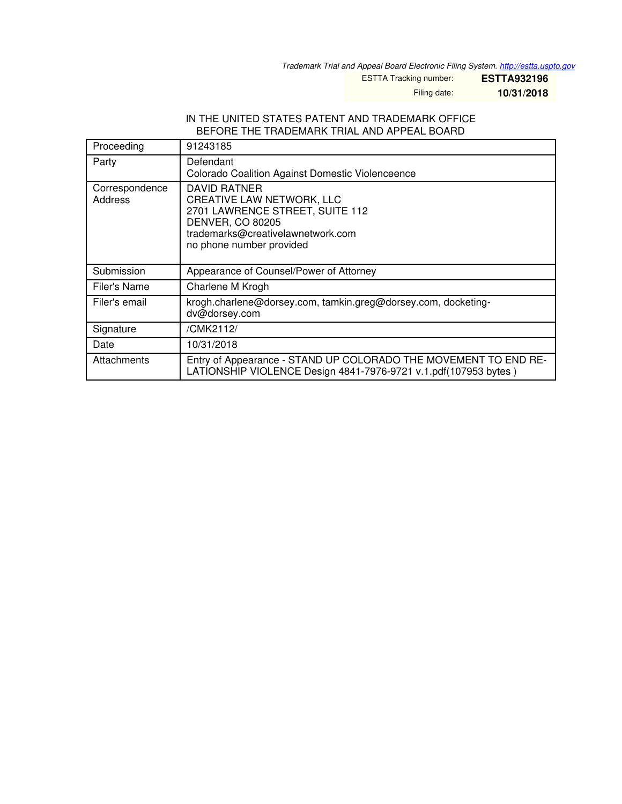*Trademark Trial and Appeal Board Electronic Filing System. <http://estta.uspto.gov>*

ESTTA Tracking number: **ESTTA932196**

Filing date: **10/31/2018**

#### IN THE UNITED STATES PATENT AND TRADEMARK OFFICE BEFORE THE TRADEMARK TRIAL AND APPEAL BOARD

| Proceeding                | 91243185                                                                                                                                                                        |
|---------------------------|---------------------------------------------------------------------------------------------------------------------------------------------------------------------------------|
| Party                     | Defendant<br>Colorado Coalition Against Domestic Violenceence                                                                                                                   |
| Correspondence<br>Address | DAVID RATNER<br><b>CREATIVE LAW NETWORK, LLC</b><br>2701 LAWRENCE STREET, SUITE 112<br><b>DENVER, CO 80205</b><br>trademarks@creativelawnetwork.com<br>no phone number provided |
| Submission                | Appearance of Counsel/Power of Attorney                                                                                                                                         |
| Filer's Name              | Charlene M Krogh                                                                                                                                                                |
| Filer's email             | krogh.charlene@dorsey.com, tamkin.greg@dorsey.com, docketing-<br>dv@dorsey.com                                                                                                  |
| Signature                 | /CMK2112/                                                                                                                                                                       |
| Date                      | 10/31/2018                                                                                                                                                                      |
| Attachments               | Entry of Appearance - STAND UP COLORADO THE MOVEMENT TO END RE-<br>LATIONSHIP VIOLENCE Design 4841-7976-9721 v.1.pdf(107953 bytes)                                              |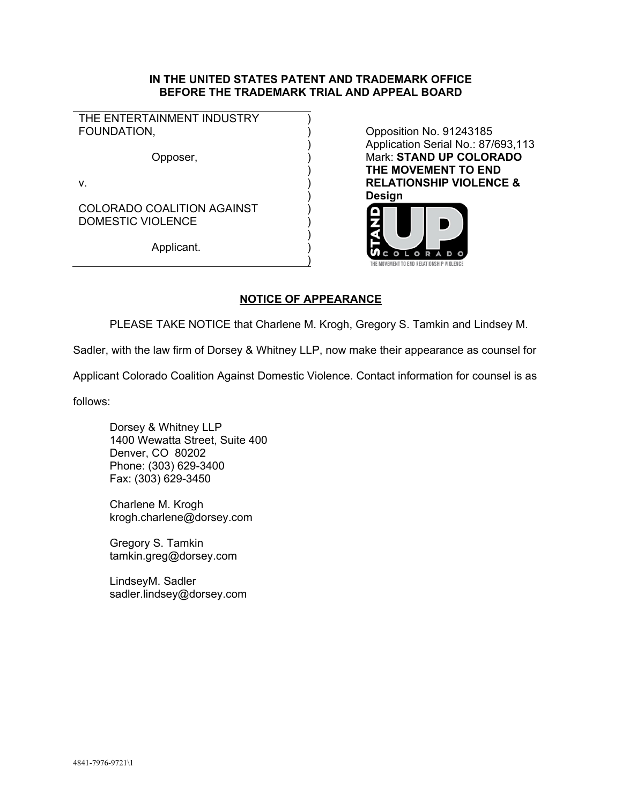### **IN THE UNITED STATES PATENT AND TRADEMARK OFFICE BEFORE THE TRADEMARK TRIAL AND APPEAL BOARD**

THE ENTERTAINMENT INDUSTRY FOUNDATION.

 ) Opposer, )

 $)$ 

 $)$ 

v.  $\qquad \qquad \qquad$ 

 ) COLORADO COALITION AGAINST DOMESTIC VIOLENCE

 ) Applicant.

Opposition No. 91243185 Application Serial No.: 87/693,113 Mark: **STAND UP COLORADO THE MOVEMENT TO END RELATIONSHIP VIOLENCE & Design** 



# **NOTICE OF APPEARANCE**

PLEASE TAKE NOTICE that Charlene M. Krogh, Gregory S. Tamkin and Lindsey M.

Sadler, with the law firm of Dorsey & Whitney LLP, now make their appearance as counsel for

Applicant Colorado Coalition Against Domestic Violence. Contact information for counsel is as

follows:

Dorsey & Whitney LLP 1400 Wewatta Street, Suite 400 Denver, CO 80202 Phone: (303) 629-3400 Fax: (303) 629-3450

Charlene M. Krogh krogh.charlene@dorsey.com

Gregory S. Tamkin tamkin.greg@dorsey.com

LindseyM. Sadler sadler.lindsey@dorsey.com